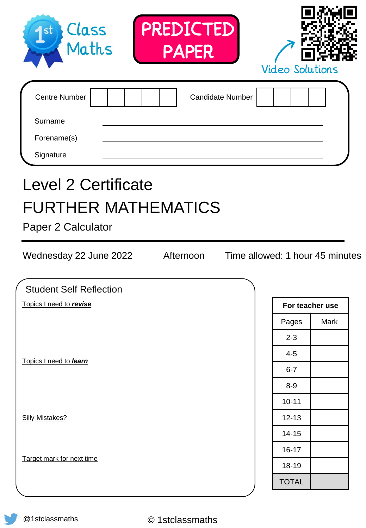| PREDICTED<br>Class<br>1 <sub>st</sub><br>Maths<br><b>PAPER</b>                         | <b>Video Solutions</b>          |                 |
|----------------------------------------------------------------------------------------|---------------------------------|-----------------|
| <b>Centre Number</b><br><b>Candidate Number</b><br>Surname<br>Forename(s)<br>Signature |                                 |                 |
| <b>Level 2 Certificate</b><br><b>FURTHER MATHEMATICS</b>                               |                                 |                 |
| Afternoon                                                                              | Time allowed: 1 hour 45 minutes |                 |
| <b>Student Self Reflection</b>                                                         |                                 |                 |
| Paper 2 Calculator<br>Wednesday 22 June 2022<br>Topics I need to revise                |                                 | For teacher use |
|                                                                                        | Pages                           | Mark            |
|                                                                                        | $2 - 3$                         |                 |
|                                                                                        | $4 - 5$                         |                 |
|                                                                                        | $6 - 7$                         |                 |
|                                                                                        | $8 - 9$                         |                 |
|                                                                                        | $10 - 11$                       |                 |
|                                                                                        | $12 - 13$                       |                 |
|                                                                                        | $14 - 15$                       |                 |
| Topics I need to learn<br><b>Silly Mistakes?</b>                                       | $16 - 17$                       |                 |
| Target mark for next time                                                              | 18-19                           |                 |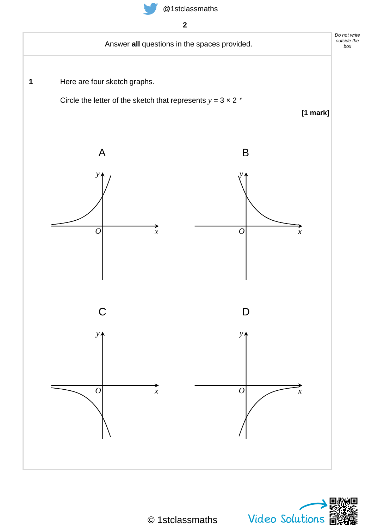



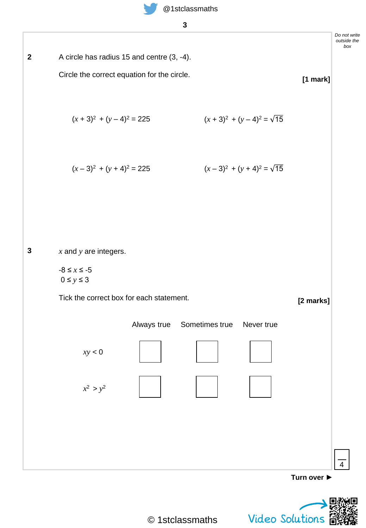



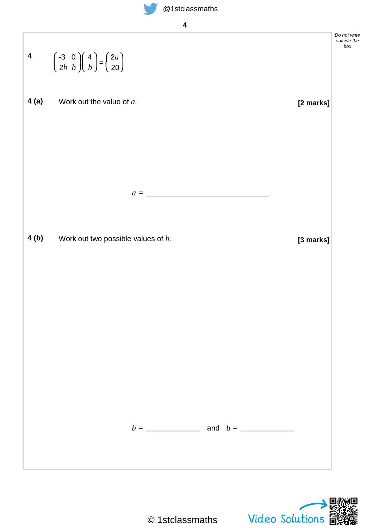

|      | 4 $\begin{pmatrix} -3 & 0 \\ 2b & b \end{pmatrix} \begin{pmatrix} 4 \\ b \end{pmatrix} = \begin{pmatrix} 2a \\ 20 \end{pmatrix}$ | Do not write<br>outside the<br>box |
|------|----------------------------------------------------------------------------------------------------------------------------------|------------------------------------|
| 4(a) | Work out the value of a.<br>[2 marks]                                                                                            |                                    |
|      |                                                                                                                                  |                                    |
|      |                                                                                                                                  |                                    |
|      | $a =$                                                                                                                            |                                    |
| 4(b) | Work out two possible values of $b$ .<br>[3 marks]                                                                               |                                    |
|      |                                                                                                                                  |                                    |
|      |                                                                                                                                  |                                    |
|      |                                                                                                                                  |                                    |
|      |                                                                                                                                  |                                    |
|      | $b =$ and $b =$                                                                                                                  |                                    |
|      |                                                                                                                                  |                                    |
|      |                                                                                                                                  |                                    |

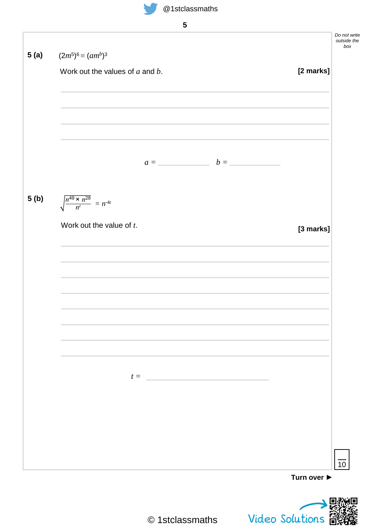







Video Solutions  $\mathbf{B}$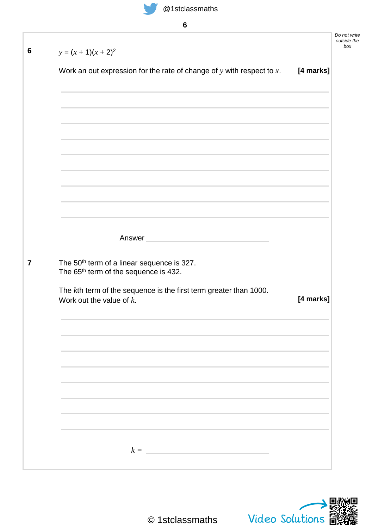| ×,                 |
|--------------------|
| ×<br>۰.<br>×<br>۰. |
|                    |

| $y = (x + 1)(x + 2)^2$                                                                                      |           |
|-------------------------------------------------------------------------------------------------------------|-----------|
| Work an out expression for the rate of change of $y$ with respect to $x$ .                                  | [4 marks] |
|                                                                                                             |           |
|                                                                                                             |           |
|                                                                                                             |           |
|                                                                                                             |           |
|                                                                                                             |           |
|                                                                                                             |           |
|                                                                                                             |           |
| Answer                                                                                                      |           |
| The 50 <sup>th</sup> term of a linear sequence is 327.<br>The 65 <sup>th</sup> term of the sequence is 432. |           |
| The kth term of the sequence is the first term greater than 1000.<br>Work out the value of $k$ .            | [4 marks] |
|                                                                                                             |           |
|                                                                                                             |           |
|                                                                                                             |           |
|                                                                                                             |           |
|                                                                                                             |           |

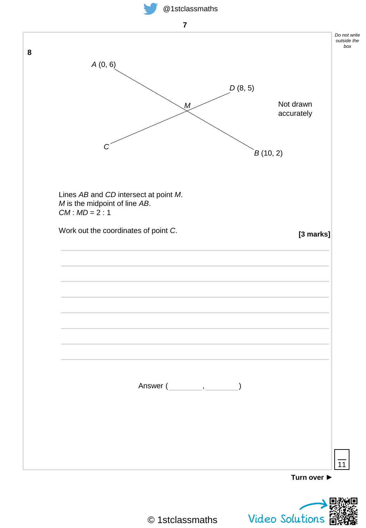





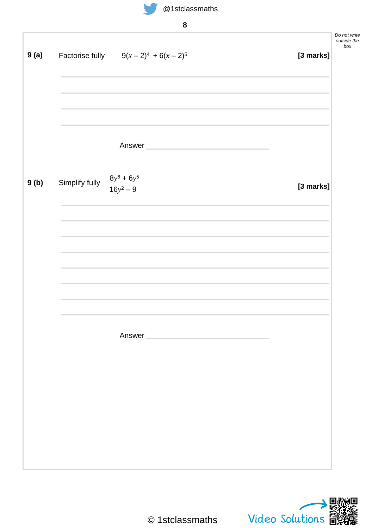

| I                   |
|---------------------|
| ×<br>۰,<br>۰,<br>M. |

| 9(a) |                                                | Factorise fully $9(x-2)^4 + 6(x-2)^5$ | [3 marks] | Do not write<br>outside the<br>box |
|------|------------------------------------------------|---------------------------------------|-----------|------------------------------------|
|      |                                                |                                       |           |                                    |
|      |                                                |                                       |           |                                    |
|      |                                                |                                       |           |                                    |
|      |                                                |                                       |           |                                    |
|      |                                                | Answer                                |           |                                    |
| 9(b) | Simplify fully $\frac{8y^6 + 6y^5}{16y^2 - 9}$ |                                       | [3 marks] |                                    |
|      |                                                |                                       |           |                                    |
|      |                                                |                                       |           |                                    |
|      |                                                |                                       |           |                                    |
|      |                                                |                                       |           |                                    |
|      |                                                |                                       |           |                                    |
|      |                                                |                                       |           |                                    |
|      |                                                | Answer                                |           |                                    |
|      |                                                |                                       |           |                                    |
|      |                                                |                                       |           |                                    |
|      |                                                |                                       |           |                                    |
|      |                                                |                                       |           |                                    |
|      |                                                |                                       |           |                                    |
|      |                                                |                                       |           |                                    |

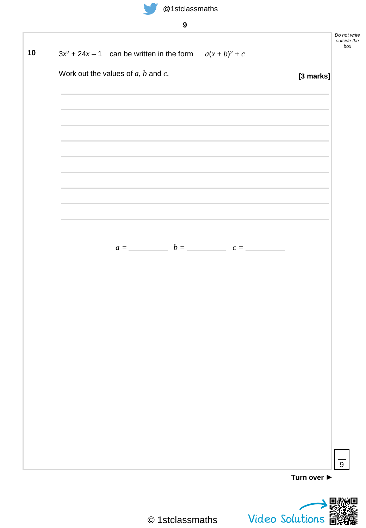

| S        |
|----------|
| ۰.<br>۰. |

| $3x^2$ + 24x - 1 can be written in the form $a(x + b)^2 + c$                     |                                                                                                                       |           |
|----------------------------------------------------------------------------------|-----------------------------------------------------------------------------------------------------------------------|-----------|
| Work out the values of $a, b$ and $c$ .                                          |                                                                                                                       | [3 marks] |
|                                                                                  |                                                                                                                       |           |
|                                                                                  | and the control of the control of the control of the control of the control of the control of the control of the      |           |
|                                                                                  | and the control of the control of the control of the control of the control of the control of the control of the      |           |
|                                                                                  |                                                                                                                       |           |
|                                                                                  |                                                                                                                       |           |
|                                                                                  | <u> 1989 - An Dùbhlachd ann an Dùbhlachd ann an Dùbhlachd ann an Dùbhlachd ann an Dùbhlachd ann an Dùbhlachd ann </u> |           |
| ,我们也不会有什么。""我们的人,我们也不会有什么?""我们的人,我们也不会有什么?""我们的人,我们也不会有什么?""我们的人,我们也不会有什么?""我们的人 |                                                                                                                       |           |
|                                                                                  |                                                                                                                       |           |
| $a =$ $b =$ $c =$                                                                |                                                                                                                       |           |
|                                                                                  |                                                                                                                       |           |
|                                                                                  |                                                                                                                       |           |
|                                                                                  |                                                                                                                       |           |
|                                                                                  |                                                                                                                       |           |
|                                                                                  |                                                                                                                       |           |
|                                                                                  |                                                                                                                       |           |
|                                                                                  |                                                                                                                       |           |
|                                                                                  |                                                                                                                       |           |
|                                                                                  |                                                                                                                       |           |
|                                                                                  |                                                                                                                       |           |
|                                                                                  |                                                                                                                       |           |
|                                                                                  |                                                                                                                       |           |

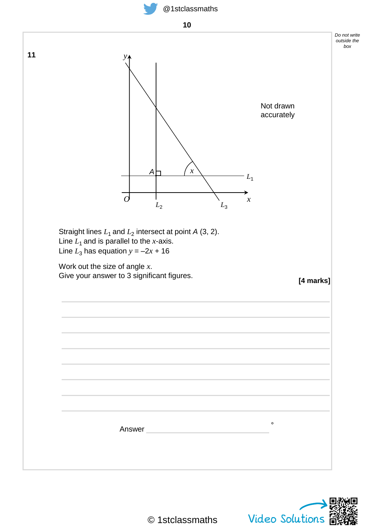





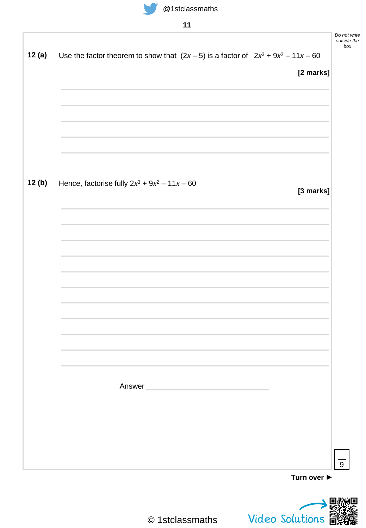

I

## @1stclassmaths

## **11**

|  |                                                 |  |        | Use the factor theorem to show that $(2x-5)$ is a factor of $2x^3 + 9x^2 - 11x - 60$ |           |
|--|-------------------------------------------------|--|--------|--------------------------------------------------------------------------------------|-----------|
|  |                                                 |  |        |                                                                                      | [2 marks] |
|  |                                                 |  |        |                                                                                      |           |
|  |                                                 |  |        |                                                                                      |           |
|  |                                                 |  |        |                                                                                      |           |
|  |                                                 |  |        |                                                                                      |           |
|  |                                                 |  |        |                                                                                      |           |
|  | Hence, factorise fully $2x^3 + 9x^2 - 11x - 60$ |  |        |                                                                                      |           |
|  |                                                 |  |        |                                                                                      | [3 marks] |
|  |                                                 |  |        |                                                                                      |           |
|  |                                                 |  |        |                                                                                      |           |
|  |                                                 |  |        |                                                                                      |           |
|  |                                                 |  |        |                                                                                      |           |
|  |                                                 |  |        |                                                                                      |           |
|  |                                                 |  |        |                                                                                      |           |
|  |                                                 |  |        |                                                                                      |           |
|  |                                                 |  |        |                                                                                      |           |
|  |                                                 |  |        |                                                                                      |           |
|  |                                                 |  |        |                                                                                      |           |
|  |                                                 |  |        |                                                                                      |           |
|  |                                                 |  | Answer |                                                                                      |           |
|  |                                                 |  |        |                                                                                      |           |
|  |                                                 |  |        |                                                                                      |           |
|  |                                                 |  |        |                                                                                      |           |
|  |                                                 |  |        |                                                                                      |           |



*Do not write*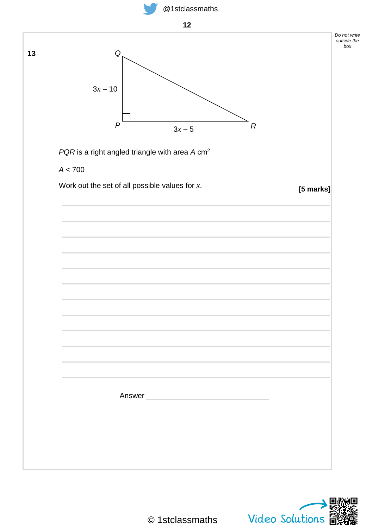



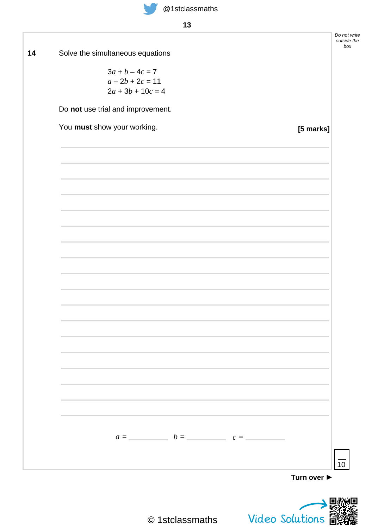*Do not write outside the box*

**14** Solve the simultaneous equations

 $3a + b - 4c = 7$  $a - 2b + 2c = 11$  $2a + 3b + 10c = 4$ 

Do **not** use trial and improvement.

| You must show your working. |                   |  | [5 marks] |
|-----------------------------|-------------------|--|-----------|
|                             |                   |  |           |
|                             |                   |  |           |
|                             |                   |  |           |
|                             |                   |  |           |
|                             |                   |  |           |
|                             |                   |  |           |
|                             |                   |  |           |
|                             |                   |  |           |
|                             |                   |  |           |
|                             |                   |  |           |
|                             |                   |  |           |
|                             |                   |  |           |
|                             |                   |  |           |
|                             |                   |  |           |
|                             |                   |  |           |
|                             |                   |  |           |
|                             |                   |  |           |
|                             | $a =$ $b =$ $c =$ |  |           |
|                             |                   |  |           |

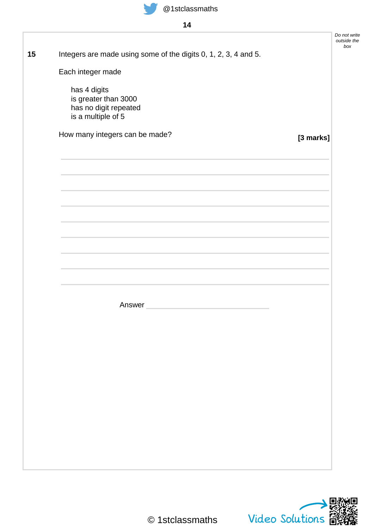

**14**

|                                                                                                                                                                                                                               |           | Do not write<br>outside the<br>box |
|-------------------------------------------------------------------------------------------------------------------------------------------------------------------------------------------------------------------------------|-----------|------------------------------------|
| Integers are made using some of the digits 0, 1, 2, 3, 4 and 5.                                                                                                                                                               |           |                                    |
| Each integer made                                                                                                                                                                                                             |           |                                    |
| has 4 digits                                                                                                                                                                                                                  |           |                                    |
| is greater than 3000<br>has no digit repeated                                                                                                                                                                                 |           |                                    |
| is a multiple of 5                                                                                                                                                                                                            |           |                                    |
| How many integers can be made?                                                                                                                                                                                                | [3 marks] |                                    |
| the control of the control of the control of the control of the control of the control of the control of the control of the control of the control of the control of the control of the control of the control of the control |           |                                    |
|                                                                                                                                                                                                                               |           |                                    |
|                                                                                                                                                                                                                               |           |                                    |
|                                                                                                                                                                                                                               |           |                                    |
|                                                                                                                                                                                                                               |           |                                    |
|                                                                                                                                                                                                                               |           |                                    |
|                                                                                                                                                                                                                               |           |                                    |
| <u> 1989 - Jan Samuel Barbara, marka a shekara ta 1989 - An tsara tsara tsara tsara tsara tsara tsara tsara tsar</u>                                                                                                          |           |                                    |
|                                                                                                                                                                                                                               |           |                                    |
|                                                                                                                                                                                                                               |           |                                    |
| Answer                                                                                                                                                                                                                        |           |                                    |
|                                                                                                                                                                                                                               |           |                                    |
|                                                                                                                                                                                                                               |           |                                    |
|                                                                                                                                                                                                                               |           |                                    |
|                                                                                                                                                                                                                               |           |                                    |
|                                                                                                                                                                                                                               |           |                                    |
|                                                                                                                                                                                                                               |           |                                    |
|                                                                                                                                                                                                                               |           |                                    |
|                                                                                                                                                                                                                               |           |                                    |
|                                                                                                                                                                                                                               |           |                                    |
|                                                                                                                                                                                                                               |           |                                    |

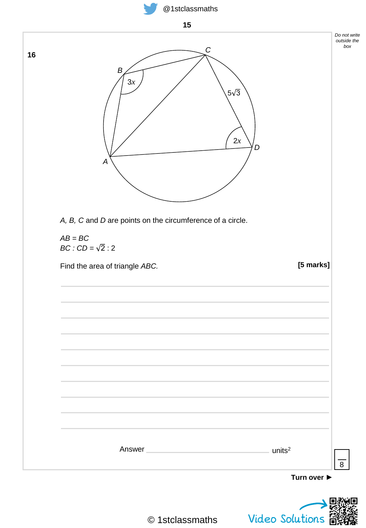



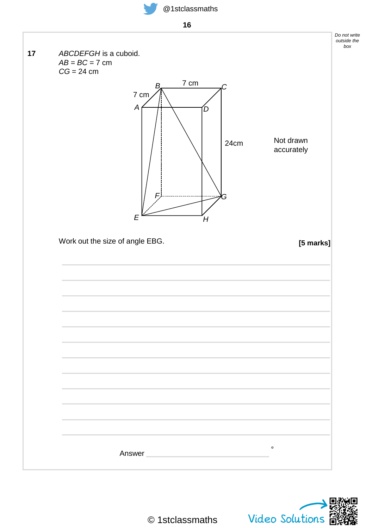



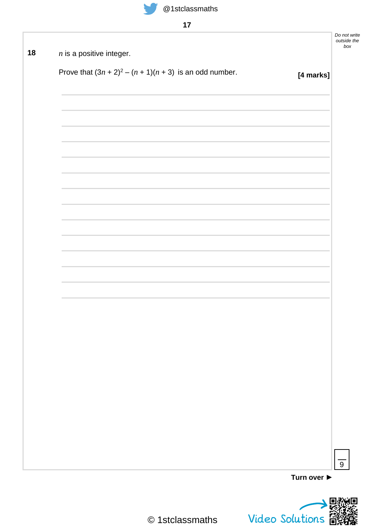

**17**

| $n$ is a positive integer.                                 |           |
|------------------------------------------------------------|-----------|
|                                                            |           |
| Prove that $(3n + 2)^2 - (n + 1)(n + 3)$ is an odd number. | [4 marks] |
|                                                            |           |
|                                                            |           |
|                                                            |           |
|                                                            |           |
|                                                            |           |
|                                                            |           |
|                                                            |           |
|                                                            |           |
|                                                            |           |
|                                                            |           |
|                                                            |           |
|                                                            |           |
|                                                            |           |
|                                                            |           |
|                                                            |           |
|                                                            |           |
|                                                            |           |
|                                                            |           |
|                                                            |           |
|                                                            |           |
|                                                            |           |
|                                                            |           |
|                                                            |           |
|                                                            |           |
|                                                            |           |
|                                                            |           |

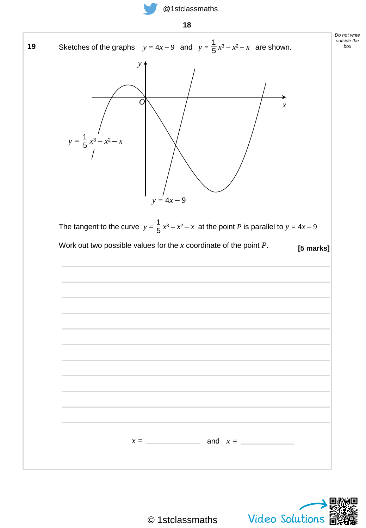